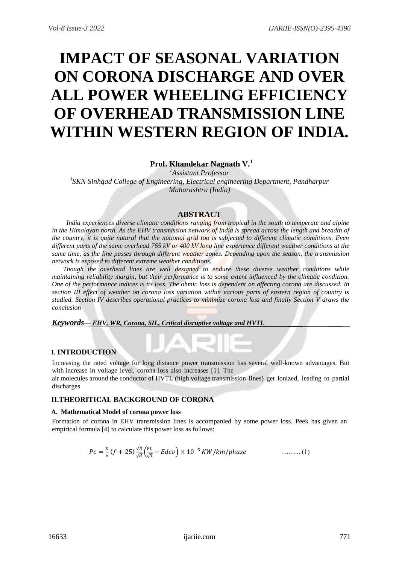# **IMPACT OF SEASONAL VARIATION ON CORONA DISCHARGE AND OVER ALL POWER WHEELING EFFICIENCY OF OVERHEAD TRANSMISSION LINE WITHIN WESTERN REGION OF INDIA.**

# **Prof. Khandekar Nagnath V.<sup>1</sup>**

*<sup>1</sup>Assistant Professor* **1** *SKN Sinhgad College of Engineering, Electrical engineering Department, Pandharpur Maharashtra (India)*

# **ABSTRACT**

 *India experiences diverse climatic conditions ranging from tropical in the south to temperate and alpine in the Himalayan north. As the EHV transmission network of India is spread across the length and breadth of the country, it is quite natural that the national grid too is subjected to different climatic conditions. Even different parts of the same overhead 765 kV or 400 kV long line experience different weather conditions at the same time, as the line passes through different weather zones. Depending upon the season, the transmission network is exposed to different extreme weather conditions.* 

 *Though the overhead lines are well designed to endure these diverse weather conditions while maintaining reliability margin, but their performance is to some extent influenced by the climatic condition. One of the performance indices is its loss. The ohmic loss is dependent on affecting corona are discussed. In section III effect of weather on corona loss variation within various parts of eastern region of country is studied. Section IV describes operational practices to minimize corona loss and finally Section V draws the conclusion*

*Keywords*— *EHV, WR, Corona, SIL, Critical disruptive voltage and HVTL*

# **I. INTRODUCTION**

Increasing the rated voltage for long distance power transmission has several well-known advantages. But with increase in voltage level, corona loss also increases [1]. The

air molecules around the conductor of HVTL (high voltage transmission lines) get ionized, leading to partial discharges

# **II.THEORITICAL BACKGROUND OF CORONA**

#### **A. Mathematical Model of corona power loss**

Formation of corona in EHV transmission lines is accompanied by some power loss. Peek has given an empirical formula [4] to calculate this power loss as follows:

$$
Pc = \frac{\kappa}{\delta} (f + 25) \frac{\sqrt{\kappa}}{\sqrt{d}} \left( \frac{VL}{\sqrt{3}} - Edcv \right) \times 10^{-5} \, KW/km / phase \qquad \qquad \ldots \ldots \ldots (1)
$$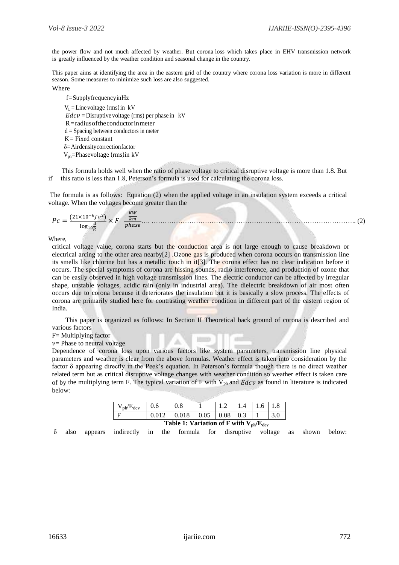the power flow and not much affected by weather. But corona loss which takes place in EHV transmission network is greatly influenced by the weather condition and seasonal change in the country.

This paper aims at identifying the area in the eastern grid of the country where corona loss variation is more in different season. Some measures to minimize such loss are also suggested.

Where

 f=SupplyfrequencyinHz  $V<sub>r</sub> = Line voltage (rms) in kV$  $Edcv =$  Disruptive voltage (rms) per phase in kV R=radiusoftheconductorinmeter  $d =$ Spacing between conductors in meter  $K =$  Fixed constant δ=Airdensitycorrectionfactor  $V_{ph}$ =Phasevoltage (rms)in kV

 This formula holds well when the ratio of phase voltage to critical disruptive voltage is more than 1.8. But if this ratio is less than 1.8, Peterson's formula is used for calculating the corona loss.

The formula is as follows: Equation (2) when the applied voltage in an insulation system exceeds a critical voltage. When the voltages become greater than the

 = (21×10−6 2 ) log<sup>10</sup> × ℎ …. ……………………………………………………………………………….. (2)

Where,

critical voltage value, corona starts but the conduction area is not large enough to cause breakdown or electrical arcing to the other area nearby $[2]$ . Ozone gas is produced when corona occurs on transmission line its smells like chlorine but has a metallic touch in it[3]. The corona effect has no clear indication before it occurs. The special symptoms of corona are hissing sounds, radio interference, and production of ozone that can be easily observed in high voltage transmission lines. The electric conductor can be affected by irregular shape, unstable voltages, acidic rain (only in industrial area). The dielectric breakdown of air most often occurs due to corona because it deteriorates the insulation but it is basically a slow process. The effects of corona are primarily studied here for contrasting weather condition in different part of the eastern region of India.

 This paper is organized as follows: In Section II Theoretical back ground of corona is described and various factors

 $10-10$ 

×

F= Multiplying factor

 $v =$  Phase to neutral voltage

Dependence of corona loss upon various factors like system parameters, transmission line physical parameters and weather is clear from the above formulas. Weather effect is taken into consideration by the factor δ appearing directly in the Peek's equation. In Peterson's formula though there is no direct weather related term but as critical disruptive voltage changes with weather condition so weather effect is taken care of by the multiplying term F. The typical variation of F with  $V_{ph}$  and  $Edcv$  as found in literature is indicated below:

|                                                             | 0.6   | 0.8                                           |  |  | 1.4 | $1.6$   1.8 |  |
|-------------------------------------------------------------|-------|-----------------------------------------------|--|--|-----|-------------|--|
|                                                             | 0.012 | $\vert 0.018 \vert 0.05 \vert 0.08 \vert 0.3$ |  |  |     |             |  |
| Table 1: Variation of F with $V_{\text{ph}}/E_{\text{dev}}$ |       |                                               |  |  |     |             |  |

δ also appears indirectly in the formula for disruptive voltage as shown below: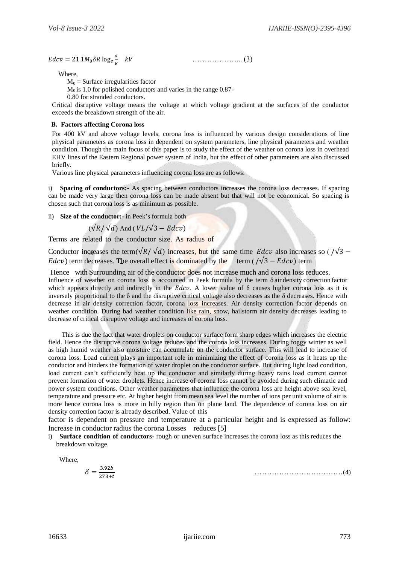$Edcv = 21.1 M_0 \delta R \log_e \frac{d}{R}$  $\boldsymbol{R}$ ………………... (3)

Where,

 $M_0$  = Surface irregularities factor

 $M<sub>0</sub>$  is 1.0 for polished conductors and varies in the range 0.87-

0.80 for stranded conductors.

Critical disruptive voltage means the voltage at which voltage gradient at the surfaces of the conductor exceeds the breakdown strength of the air.

### **B. Factors affecting Corona loss**

For 400 kV and above voltage levels, corona loss is influenced by various design considerations of line physical parameters as corona loss in dependent on system parameters, line physical parameters and weather condition. Though the main focus of this paper is to study the effect of the weather on corona loss in overhead EHV lines of the Eastern Regional power system of India, but the effect of other parameters are also discussed briefly.

Various line physical parameters influencing corona loss are as follows:

i) **Spacing of conductors:-** As spacing between conductors increases the corona loss decreases. If spacing can be made very large then corona loss can be made absent but that will not be economical. So spacing is chosen such that corona loss is as minimum as possible.

ii) **Size of the conductor:-** in Peek's formula both

$$
(\sqrt{R}/\sqrt{d})
$$
 And  $(VL/\sqrt{3} - Edcv)$ 

Terms are related to the conductor size. As radius of

Conductor increases the term( $\sqrt{R}/\sqrt{d}$ ) increases, but the same time *Edcv* also increases so ( $\sqrt{3}$  – Edcv) term decreases. The overall effect is dominated by the term ( $/\sqrt{3} - Edcv$ ) term

Hence with Surrounding air of the conductor does not increase much and corona loss reduces. Influence of weather on corona loss is accounted in Peek formula by the term δ air density correction factor which appears directly and indirectly in the *Edcv*. A lower value of  $\delta$  causes higher corona loss as it is inversely proportional to the  $\delta$  and the disruptive critical voltage also decreases as the  $\delta$  decreases. Hence with decrease in air density correction factor, corona loss increases. Air density correction factor depends on weather condition. During bad weather condition like rain, snow, hailstorm air density decreases leading to decrease of critical disruptive voltage and increases of corona loss.

 This is due the fact that water droplets on conductor surface form sharp edges which increases the electric field. Hence the disruptive corona voltage reduces and the corona loss increases. During foggy winter as well as high humid weather also moisture can accumulate on the conductor surface. This will lead to increase of corona loss. Load current plays an important role in minimizing the effect of corona loss as it heats up the conductor and hinders the formation of water droplet on the conductor surface. But during light load condition, load current can't sufficiently heat up the conductor and similarly during heavy rains load current cannot prevent formation of water droplets. Hence increase of corona loss cannot be avoided during such climatic and power system conditions. Other weather parameters that influence the corona loss are height above sea level, temperature and pressure etc. At higher height from mean sea level the number of ions per unit volume of air is more hence corona loss is more in hilly region than on plane land. The dependence of corona loss on air density correction factor is already described. Value of this

factor is dependent on pressure and temperature at a particular height and is expressed as follow: Increase in conductor radius the corona Losses reduces [5]

i) **Surface condition of conductors-** rough or uneven surface increases the corona loss as this reduces the breakdown voltage.

Where,

$$
\delta = \frac{3.92b}{273+t} \tag{4}
$$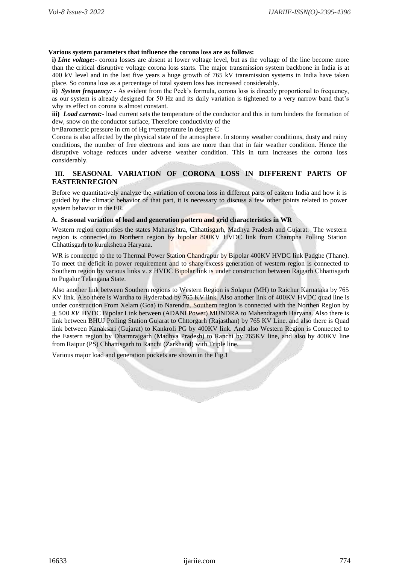#### **Various system parameters that influence the corona loss are as follows:**

**i)** *Line voltage:*- corona losses are absent at lower voltage level, but as the voltage of the line become more than the critical disruptive voltage corona loss starts. The major transmission system backbone in India is at 400 kV level and in the last five years a huge growth of 765 kV transmission systems in India have taken place. So corona loss as a percentage of total system loss has increased considerably.

**ii)** *System frequency:* **-** As evident from the Peek's formula, corona loss is directly proportional to frequency, as our system is already designed for 50 Hz and its daily variation is tightened to a very narrow band that's why its effect on corona is almost constant.

**iii)** *Load current:*- load current sets the temperature of the conductor and this in turn hinders the formation of dew, snow on the conductor surface, Therefore conductivity of the

b=Barometric pressure in cm of Hg t=temperature in degree C

Corona is also affected by the physical state of the atmosphere. In stormy weather conditions, dusty and rainy conditions, the number of free electrons and ions are more than that in fair weather condition. Hence the disruptive voltage reduces under adverse weather condition. This in turn increases the corona loss considerably.

# **III. SEASONAL VARIATION OF CORONA LOSS IN DIFFERENT PARTS OF EASTERNREGION**

Before we quantitatively analyze the variation of corona loss in different parts of eastern India and how it is guided by the climatic behavior of that part, it is necessary to discuss a few other points related to power system behavior in the ER.

#### **A. Seasonal variation of load and generation pattern and grid characteristics in WR**

Western region comprises the states Maharashtra, Chhattisgarh, Madhya Pradesh and Gujarat. The western region is connected to Northern region by bipolar 800KV HVDC link from Champha Polling Station Chhattisgarh to kurukshetra Haryana.

WR is connected to the to Thermal Power Station Chandrapur by Bipolar 400KV HVDC link Padghe (Thane). To meet the deficit in power requirement and to share excess generation of western region is connected to Southern region by various links v. z HVDC Bipolar link is under construction between Rajgarh Chhattisgarh to Pugalur Telangana State.

Also another link between Southern regions to Western Region is Solapur (MH) to Raichur Karnataka by 765 KV link. Also there is Wardha to Hyderabad by 765 KV link. Also another link of 400KV HVDC quad line is under construction From Xelam (Goa) to Narendra. Southern region is connected with the Northen Region by  $\pm$  500 KV HVDC Bipolar Link between (ADANI Power) MUNDRA to Mahendragarh Haryana. Also there is link between BHUJ Polling Station Gujarat to Chttorgarh (Rajasthan) by 765 KV Line. and also there is Quad link between Kanaksari (Gujarat) to Kankroli PG by 400KV link. And also Western Region is Connected to the Eastern region by Dharmrajgarh (Madhya Pradesh) to Ranchi by 765KV line, and also by 400KV line from Raipur (PS) Chhattisgarh to Ranchi (Zarkhand) with Triple line.

Various major load and generation pockets are shown in the Fig.1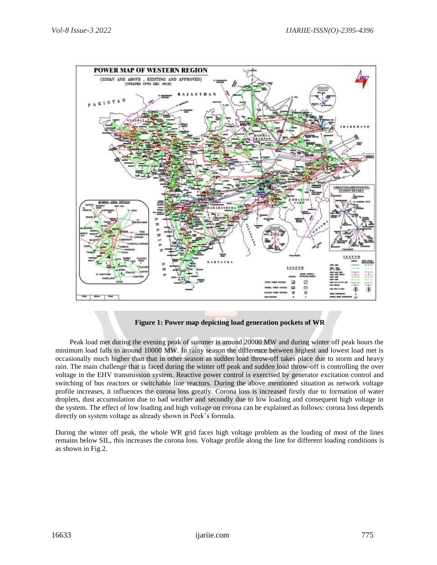

**Figure 1: Power map depicting load generation pockets of WR**

 Peak load met during the evening peak of summer is around 20000 MW and during winter off peak hours the minimum load falls to around 10000 MW. In rainy season the difference between highest and lowest load met is occasionally much higher than that in other season as sudden load throw-off takes place due to storm and heavy rain. The main challenge that is faced during the winter off peak and sudden load throw-off is controlling the over voltage in the EHV transmission system. Reactive power control is exercised by generator excitation control and switching of bus reactors or switchable line reactors. During the above mentioned situation as network voltage profile increases, it influences the corona loss greatly. Corona loss is increased firstly due to formation of water droplets, dust accumulation due to bad weather and secondly due to low loading and consequent high voltage in the system. The effect of low loading and high voltage on corona can be explained as follows: corona loss depends directly on system voltage as already shown in Peek's formula.

During the winter off peak, the whole WR grid faces high voltage problem as the loading of most of the lines remains below SIL, this increases the corona loss. Voltage profile along the line for different loading conditions is as shown in Fig.2.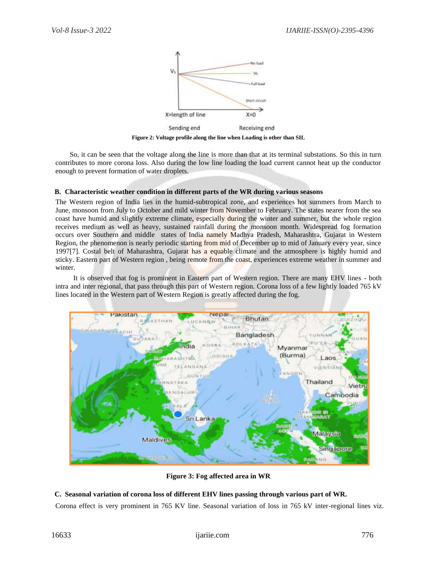

**Figure 2: Voltage profile along the line when Loading is other than SIL**

 So, it can be seen that the voltage along the line is more than that at its terminal substations. So this in turn contributes to more corona loss. Also during the low line loading the load current cannot heat up the conductor enough to prevent formation of water droplets.

# **B. Characteristic weather condition in different parts of the WR during various seasons**

The Western region of India lies in the humid-subtropical zone, and experiences hot summers from March to June, monsoon from July to October and mild winter from November to February. The states nearer from the sea coast have humid and slightly extreme climate, especially during the winter and summer, but the whole region receives medium as well as heavy, sustained rainfall during the monsoon month. Widespread fog formation occurs over Southern and middle states of India namely Madhya Pradesh, Maharashtra, Gujarat in Western Region, the phenomenon is nearly periodic starting from mid of December up to mid of January every year, since 1997[7]. Costal belt of Maharashtra, Gujarat has a equable climate and the atmosphere is highly humid and sticky. Eastern part of Western region , being remote from the coast, experiences extreme weather in summer and winter.

 It is observed that fog is prominent in Eastern part of Western region. There are many EHV lines - both intra and inter regional, that pass through this part of Western region. Corona loss of a few lightly loaded 765 kV lines located in the Western part of Western Region is greatly affected during the fog.



**Figure 3: Fog affected area in WR**

#### **C. Seasonal variation of corona loss of different EHV lines passing through various part of WR.**

Corona effect is very prominent in 765 KV line. Seasonal variation of loss in 765 kV inter-regional lines viz.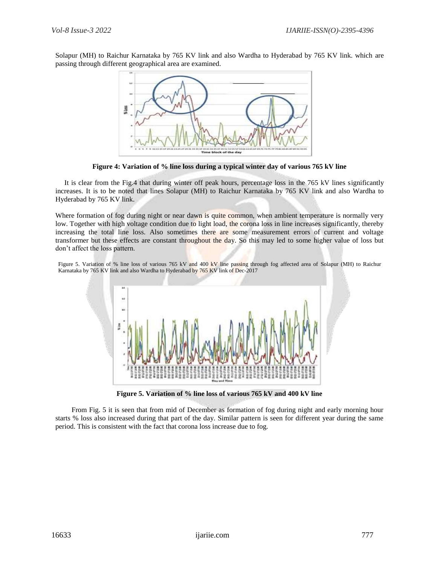Solapur (MH) to Raichur Karnataka by 765 KV link and also Wardha to Hyderabad by 765 KV link. which are passing through different geographical area are examined.



**Figure 4: Variation of % line loss during a typical winter day of various 765 kV line**

 It is clear from the Fig.4 that during winter off peak hours, percentage loss in the 765 kV lines significantly increases. It is to be noted that lines Solapur (MH) to Raichur Karnataka by 765 KV link and also Wardha to Hyderabad by 765 KV link.

Where formation of fog during night or near dawn is quite common, when ambient temperature is normally very low. Together with high voltage condition due to light load, the corona loss in line increases significantly, thereby increasing the total line loss. Also sometimes there are some measurement errors of current and voltage transformer but these effects are constant throughout the day. So this may led to some higher value of loss but don't affect the loss pattern.

Figure 5. Variation of % line loss of various 765 kV and 400 kV line passing through fog affected area of Solapur (MH) to Raichur Karnataka by 765 KV link and also Wardha to Hyderabad by 765 KV link of Dec-2017



**Figure 5. Variation of % line loss of various 765 kV and 400 kV line**

 From Fig. 5 it is seen that from mid of December as formation of fog during night and early morning hour starts % loss also increased during that part of the day. Similar pattern is seen for different year during the same period. This is consistent with the fact that corona loss increase due to fog.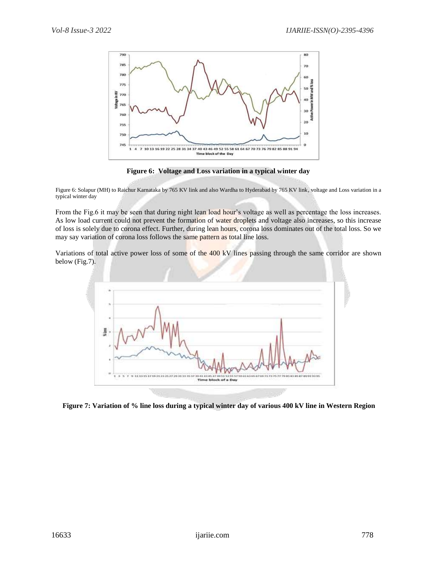

**Figure 6: Voltage and Loss variation in a typical winter day**

Figure 6: Solapur (MH) to Raichur Karnataka by 765 KV link and also Wardha to Hyderabad by 765 KV link, voltage and Loss variation in a typical winter day

From the Fig.6 it may be seen that during night lean load hour's voltage as well as percentage the loss increases. As low load current could not prevent the formation of water droplets and voltage also increases, so this increase of loss is solely due to corona effect. Further, during lean hours, corona loss dominates out of the total loss. So we may say variation of corona loss follows the same pattern as total line loss.

Variations of total active power loss of some of the 400 kV lines passing through the same corridor are shown below (Fig.7).



**Figure 7: Variation of % line loss during a typical winter day of various 400 kV line in Western Region**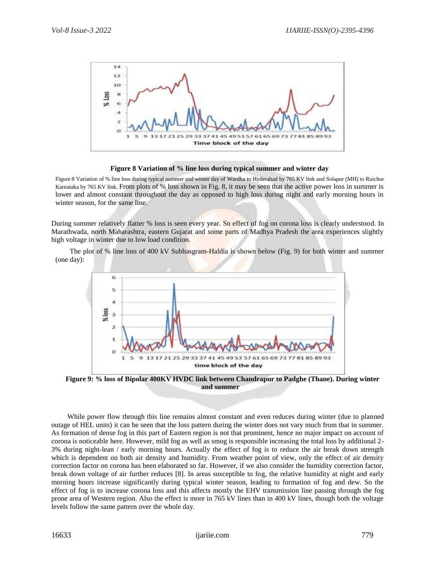

**Figure 8 Variation of % line loss during typical summer and winter day**

Figure 8 Variation of % line loss during typical summer and winter day of Wardha to Hyderabad by 765 KV link and Solapur (MH) to Raichur Karnataka by 765 KV link. From plots of % loss shown in Fig. 8, it may be seen that the active power loss in summer is lower and almost constant throughout the day as opposed to high loss during night and early morning hours in winter season, for the same line.

During summer relatively flatter % loss is seen every year. So effect of fog on corona loss is clearly understood. In Marathwada, north Maharashtra, eastern Gujarat and some parts of Madhya Pradesh the area experiences slightly high voltage in winter due to low load condition.

The plot of % line loss of 400 kV Subhasgram-Haldia is shown below (Fig. 9) for both winter and summer (one day):



**Figure 9: % loss of Bipolar 400KV HVDC link between Chandrapur to Padghe (Thane). During winter and summer**

 While power flow through this line remains almost constant and even reduces during winter (due to planned outage of HEL units) it can be seen that the loss pattern during the winter does not vary much from that in summer. As formation of dense fog in this part of Eastern region is not that prominent, hence no major impact on account of corona is noticeable here. However, mild fog as well as smog is responsible increasing the total loss by additional 2- 3% during night-lean / early morning hours. Actually the effect of fog is to reduce the air break down strength which is dependent on both air density and humidity. From weather point of view, only the effect of air density correction factor on corona has been elaborated so far. However, if we also consider the humidity correction factor, break down voltage of air further reduces [8]. In areas susceptible to fog, the relative humidity at night and early morning hours increase significantly during typical winter season, leading to formation of fog and dew. So the effect of fog is to increase corona loss and this affects mostly the EHV transmission line passing through the fog prone area of Western region. Also the effect is more in 765 kV lines than in 400 kV lines, though both the voltage levels follow the same pattern over the whole day.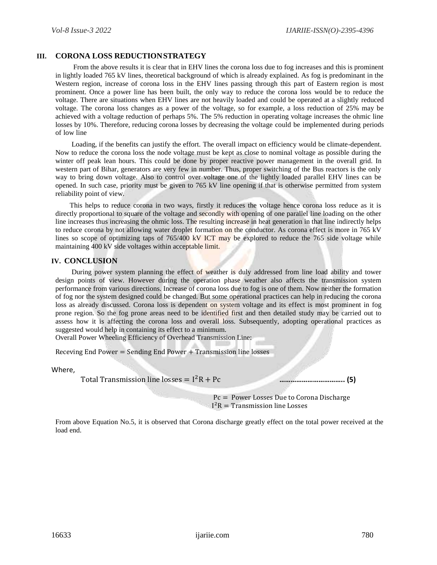# **III. CORONA LOSS REDUCTIONSTRATEGY**

 From the above results it is clear that in EHV lines the corona loss due to fog increases and this is prominent in lightly loaded 765 kV lines, theoretical background of which is already explained. As fog is predominant in the Western region, increase of corona loss in the EHV lines passing through this part of Eastern region is most prominent. Once a power line has been built, the only way to reduce the corona loss would be to reduce the voltage. There are situations when EHV lines are not heavily loaded and could be operated at a slightly reduced voltage. The corona loss changes as a power of the voltage, so for example, a loss reduction of 25% may be achieved with a voltage reduction of perhaps 5%. The 5% reduction in operating voltage increases the ohmic line losses by 10%. Therefore, reducing corona losses by decreasing the voltage could be implemented during periods of low line

 Loading, if the benefits can justify the effort. The overall impact on efficiency would be climate-dependent. Now to reduce the corona loss the node voltage must be kept as close to nominal voltage as possible during the winter off peak lean hours. This could be done by proper reactive power management in the overall grid. In western part of Bihar, generators are very few in number. Thus, proper switching of the Bus reactors is the only way to bring down voltage. Also to control over voltage one of the lightly loaded parallel EHV lines can be opened. In such case, priority must be given to 765 kV line opening if that is otherwise permitted from system reliability point of view.

 This helps to reduce corona in two ways, firstly it reduces the voltage hence corona loss reduce as it is directly proportional to square of the voltage and secondly with opening of one parallel line loading on the other line increases thus increasing the ohmic loss. The resulting increase in heat generation in that line indirectly helps to reduce corona by not allowing water droplet formation on the conductor. As corona effect is more in 765 kV lines so scope of optimizing taps of 765/400 kV ICT may be explored to reduce the 765 side voltage while maintaining 400 kV side voltages within acceptable limit.

# **IV. CONCLUSION**

 During power system planning the effect of weather is duly addressed from line load ability and tower design points of view. However during the operation phase weather also affects the transmission system performance from various directions. Increase of corona loss due to fog is one of them. Now neither the formation of fog nor the system designed could be changed. But some operational practices can help in reducing the corona loss as already discussed. Corona loss is dependent on system voltage and its effect is most prominent in fog prone region. So the fog prone areas need to be identified first and then detailed study may be carried out to assess how it is affecting the corona loss and overall loss. Subsequently, adopting operational practices as suggested would help in containing its effect to a minimum.

Overall Power Wheeling Efficiency of Overhead Transmission Line:

Receving End Power = Sending End Power + Transmission line losses

#### Where,

Total Transmission line losses =  $I^2R$  + Pc

Pc = Power Losses Due to Corona Discharge

<sup>2</sup>R + Pc **…………………………….. (5)**

 $I^2R =$  Transmission line Losses

From above Equation No.5, it is observed that Corona discharge greatly effect on the total power received at the load end.